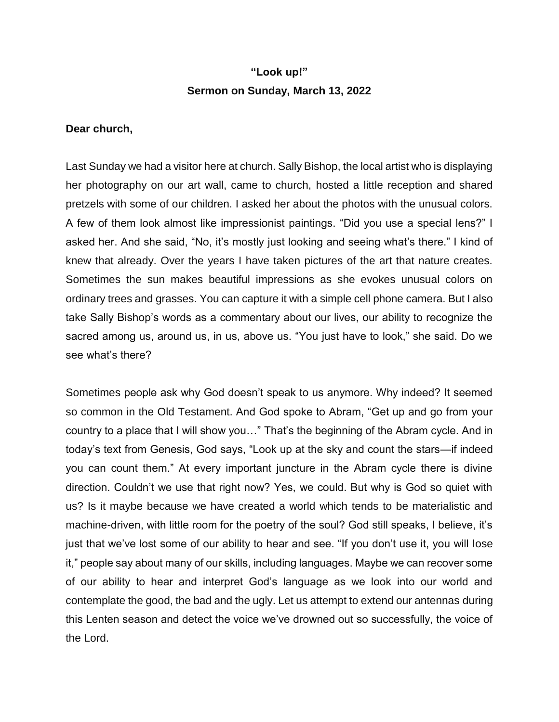## **"Look up!" Sermon on Sunday, March 13, 2022**

## **Dear church,**

Last Sunday we had a visitor here at church. Sally Bishop, the local artist who is displaying her photography on our art wall, came to church, hosted a little reception and shared pretzels with some of our children. I asked her about the photos with the unusual colors. A few of them look almost like impressionist paintings. "Did you use a special lens?" I asked her. And she said, "No, it's mostly just looking and seeing what's there." I kind of knew that already. Over the years I have taken pictures of the art that nature creates. Sometimes the sun makes beautiful impressions as she evokes unusual colors on ordinary trees and grasses. You can capture it with a simple cell phone camera. But I also take Sally Bishop's words as a commentary about our lives, our ability to recognize the sacred among us, around us, in us, above us. "You just have to look," she said. Do we see what's there?

Sometimes people ask why God doesn't speak to us anymore. Why indeed? It seemed so common in the Old Testament. And God spoke to Abram, "Get up and go from your country to a place that I will show you…" That's the beginning of the Abram cycle. And in today's text from Genesis, God says, "Look up at the sky and count the stars—if indeed you can count them." At every important juncture in the Abram cycle there is divine direction. Couldn't we use that right now? Yes, we could. But why is God so quiet with us? Is it maybe because we have created a world which tends to be materialistic and machine-driven, with little room for the poetry of the soul? God still speaks, I believe, it's just that we've lost some of our ability to hear and see. "If you don't use it, you will lose it," people say about many of our skills, including languages. Maybe we can recover some of our ability to hear and interpret God's language as we look into our world and contemplate the good, the bad and the ugly. Let us attempt to extend our antennas during this Lenten season and detect the voice we've drowned out so successfully, the voice of the Lord.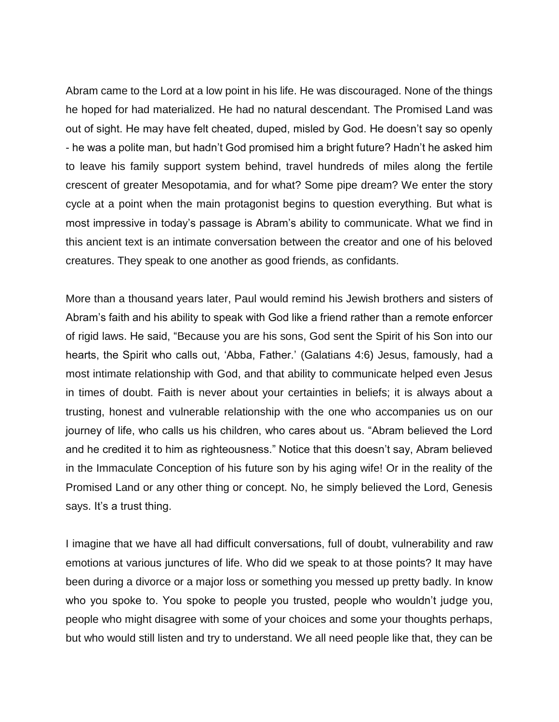Abram came to the Lord at a low point in his life. He was discouraged. None of the things he hoped for had materialized. He had no natural descendant. The Promised Land was out of sight. He may have felt cheated, duped, misled by God. He doesn't say so openly - he was a polite man, but hadn't God promised him a bright future? Hadn't he asked him to leave his family support system behind, travel hundreds of miles along the fertile crescent of greater Mesopotamia, and for what? Some pipe dream? We enter the story cycle at a point when the main protagonist begins to question everything. But what is most impressive in today's passage is Abram's ability to communicate. What we find in this ancient text is an intimate conversation between the creator and one of his beloved creatures. They speak to one another as good friends, as confidants.

More than a thousand years later, Paul would remind his Jewish brothers and sisters of Abram's faith and his ability to speak with God like a friend rather than a remote enforcer of rigid laws. He said, "Because you are his sons, God sent the Spirit of his Son into our hearts, the Spirit who calls out, 'Abba, Father.' (Galatians 4:6) Jesus, famously, had a most intimate relationship with God, and that ability to communicate helped even Jesus in times of doubt. Faith is never about your certainties in beliefs; it is always about a trusting, honest and vulnerable relationship with the one who accompanies us on our journey of life, who calls us his children, who cares about us. "Abram believed the Lord and he credited it to him as righteousness." Notice that this doesn't say, Abram believed in the Immaculate Conception of his future son by his aging wife! Or in the reality of the Promised Land or any other thing or concept. No, he simply believed the Lord, Genesis says. It's a trust thing.

I imagine that we have all had difficult conversations, full of doubt, vulnerability and raw emotions at various junctures of life. Who did we speak to at those points? It may have been during a divorce or a major loss or something you messed up pretty badly. In know who you spoke to. You spoke to people you trusted, people who wouldn't judge you, people who might disagree with some of your choices and some your thoughts perhaps, but who would still listen and try to understand. We all need people like that, they can be